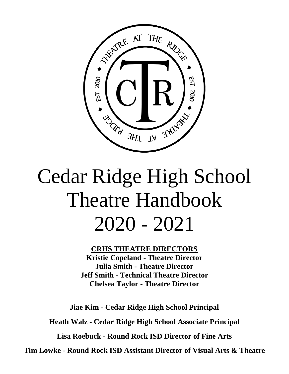

# Cedar Ridge High School Theatre Handbook 2020 - 2021

**CRHS THEATRE DIRECTORS Kristie Copeland - Theatre Director Julia Smith - Theatre Director Jeff Smith - Technical Theatre Director Chelsea Taylor - Theatre Director**

**Jiae Kim - Cedar Ridge High School Principal**

**Heath Walz - Cedar Ridge High School Associate Principal**

**Lisa Roebuck - Round Rock ISD Director of Fine Arts**

**Tim Lowke - Round Rock ISD Assistant Director of Visual Arts & Theatre**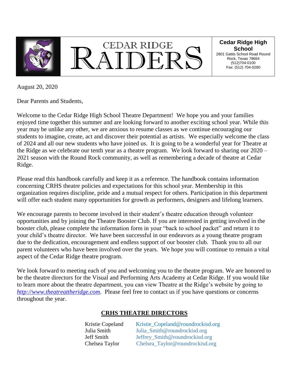



#### **Cedar Ridge High School**

2801 Gattis School Road Round Rock, Texas 78664 (512)704-0100 Fax: (512) 704-0280

August 20, 2020

Dear Parents and Students,

Welcome to the Cedar Ridge High School Theatre Department! We hope you and your families enjoyed time together this summer and are looking forward to another exciting school year. While this year may be unlike any other, we are anxious to resume classes as we continue encouraging our students to imagine, create, act and discover their potential as artists. We especially welcome the class of 2024 and all our new students who have joined us. It is going to be a wonderful year for Theatre at the Ridge as we celebrate our tenth year as a theatre program. We look forward to sharing our 2020 – 2021 season with the Round Rock community, as well as remembering a decade of theatre at Cedar Ridge.

Please read this handbook carefully and keep it as a reference. The handbook contains information concerning CRHS theatre policies and expectations for this school year. Membership in this organization requires discipline, pride and a mutual respect for others. Participation in this department will offer each student many opportunities for growth as performers, designers and lifelong learners.

We encourage parents to become involved in their student's theatre education through volunteer opportunities and by joining the Theatre Booster Club. If you are interested in getting involved in the booster club, please complete the information form in your "back to school packet" and return it to your child's theatre director. We have been successful in our endeavors as a young theatre program due to the dedication, encouragement and endless support of our booster club. Thank you to all our parent volunteers who have been involved over the years. We hope you will continue to remain a vital aspect of the Cedar Ridge theatre program.

We look forward to meeting each of you and welcoming you to the theatre program. We are honored to be the theatre directors for the Visual and Performing Arts Academy at Cedar Ridge. If you would like to learn more about the theatre department, you can view Theatre at the Ridge's website by going to *[http://www.theatreattheridge.com](http://www.theatreattheridge.com/)*. Please feel free to contact us if you have questions or concerns throughout the year.

#### **CRHS THEATRE DIRECTORS**

| Kristie Copeland | Kristie_Copeland@roundrockisd.org |
|------------------|-----------------------------------|
| Julia Smith      | Julia_Smith@roundrockisd.org      |
| Jeff Smith       | Jeffrey_Smith@roundrockisd.org    |
| Chelsea Taylor   | Chelsea_Taylor@roundrockisd.org   |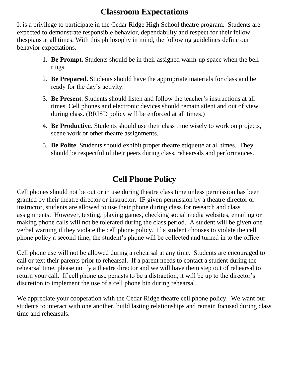#### **Classroom Expectations**

It is a privilege to participate in the Cedar Ridge High School theatre program. Students are expected to demonstrate responsible behavior, dependability and respect for their fellow thespians at all times. With this philosophy in mind, the following guidelines define our behavior expectations.

- 1. **Be Prompt.** Students should be in their assigned warm-up space when the bell rings.
- 2. **Be Prepared.** Students should have the appropriate materials for class and be ready for the day's activity.
- 3. **Be Present**. Students should listen and follow the teacher's instructions at all times. Cell phones and electronic devices should remain silent and out of view during class. (RRISD policy will be enforced at all times.)
- 4. **Be Productive**. Students should use their class time wisely to work on projects, scene work or other theatre assignments.
- 5. **Be Polite**. Students should exhibit proper theatre etiquette at all times. They should be respectful of their peers during class, rehearsals and performances.

### **Cell Phone Policy**

Cell phones should not be out or in use during theatre class time unless permission has been granted by their theatre director or instructor. IF given permission by a theatre director or instructor, students are allowed to use their phone during class for research and class assignments. However, texting, playing games, checking social media websites, emailing or making phone calls will not be tolerated during the class period. A student will be given one verbal warning if they violate the cell phone policy. If a student chooses to violate the cell phone policy a second time, the student's phone will be collected and turned in to the office.

Cell phone use will not be allowed during a rehearsal at any time. Students are encouraged to call or text their parents prior to rehearsal. If a parent needs to contact a student during the rehearsal time, please notify a theatre director and we will have them step out of rehearsal to return your call. If cell phone use persists to be a distraction, it will be up to the director's discretion to implement the use of a cell phone bin during rehearsal.

We appreciate your cooperation with the Cedar Ridge theatre cell phone policy. We want our students to interact with one another, build lasting relationships and remain focused during class time and rehearsals.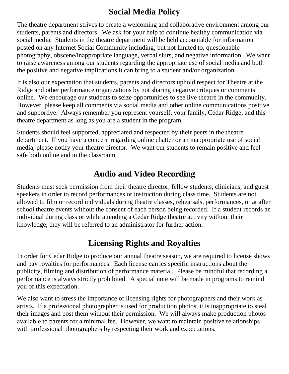# **Social Media Policy**

The theatre department strives to create a welcoming and collaborative environment among our students, parents and directors. We ask for your help to continue healthy communication via social media. Students in the theatre department will be held accountable for information posted on any Internet Social Community including, but not limited to, questionable photography, obscene/inappropriate language, verbal slurs, and negative information. We want to raise awareness among our students regarding the appropriate use of social media and both the positive and negative implications it can bring to a student and/or organization.

It is also our expectation that students, parents and directors uphold respect for Theatre at the Ridge and other performance organizations by not sharing negative critiques or comments online. We encourage our students to seize opportunities to see live theatre in the community. However, please keep all comments via social media and other online communications positive and supportive. Always remember you represent yourself, your family, Cedar Ridge, and this theatre department as long as you are a student in the program.

Students should feel supported, appreciated and respected by their peers in the theatre department. If you have a concern regarding online chatter or an inappropriate use of social media, please notify your theatre director. We want our students to remain positive and feel safe both online and in the classroom.

#### **Audio and Video Recording**

Students must seek permission from their theatre director, fellow students, clinicians, and guest speakers in order to record performances or instruction during class time. Students are not allowed to film or record individuals during theatre classes, rehearsals, performances, or at after school theatre events without the consent of each person being recorded. If a student records an individual during class or while attending a Cedar Ridge theatre activity without their knowledge, they will be referred to an administrator for further action.

### **Licensing Rights and Royalties**

In order for Cedar Ridge to produce our annual theatre season, we are required to license shows and pay royalties for performances. Each license carries specific instructions about the publicity, filming and distribution of performance material. Please be mindful that recording a performance is always strictly prohibited. A special note will be made in programs to remind you of this expectation.

We also want to stress the importance of licensing rights for photographers and their work as artists. If a professional photographer is used for production photos, it is inappropriate to steal their images and post them without their permission. We will always make production photos available to parents for a minimal fee. However, we want to maintain positive relationships with professional photographers by respecting their work and expectations.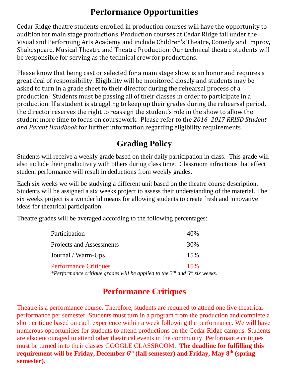## **Performance Opportunities**

Cedar Ridge theatre students enrolled in production courses will have the opportunity to audition for main stage productions. Production courses at Cedar Ridge fall under the Visual and Performing Arts Academy and include Children's Theatre, Comedy and Improv, Shakespeare, Musical Theatre and Theatre Production. Our technical theatre students will be responsible for serving as the technical crew for productions.

Please know that being cast or selected for a main stage show is an honor and requires a great deal of responsibility. Eligibility will be monitored closely and students may be asked to turn in a grade sheet to their director during the rehearsal process of a production. Students must be passing all of their classes in order to participate in a production. If a student is struggling to keep up their grades during the rehearsal period, the director reserves the right to reassign the student's role in the show to allow the student more time to focus on coursework. Please refer to the *2016- 2017 RRISD Student and Parent Handbook* for further information regarding eligibility requirements.

### **Grading Policy**

Students will receive a weekly grade based on their daily participation in class. This grade will also include their productivity with others during class time. Classroom infractions that affect student performance will result in deductions from weekly grades.

Each six weeks we will be studying a different unit based on the theatre course description. Students will be assigned a six weeks project to assess their understanding of the material. The six weeks project is a wonderful means for allowing students to create fresh and innovative ideas for theatrical participation.

Theatre grades will be averaged according to the following percentages:

| Participation                                                                                                        | 40% |
|----------------------------------------------------------------------------------------------------------------------|-----|
| Projects and Assessments                                                                                             | 30% |
| Journal / Warm-Ups                                                                                                   | 15% |
| <b>Performance Critiques</b><br>*Performance critique grades will be applied to the $3^{rd}$ and $6^{th}$ six weeks. | 15% |

#### **Performance Critiques**

Theatre is a performance course. Therefore, students are required to attend one live theatrical performance per semester. Students must turn in a program from the production and complete a short critique based on each experience within a week following the performance. We will have numerous opportunities for students to attend productions on the Cedar Ridge campus. Students are also encouraged to attend other theatrical events in the community. Performance critiques must be turned in to their classes GOOGLE CLASSROOM. **The deadline for fulfilling this requirement will be Friday, December 6th (fall semester) and Friday, May 8th (spring semester).**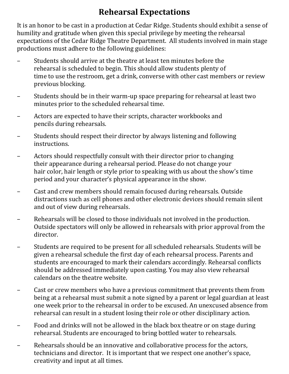# **Rehearsal Expectations**

It is an honor to be cast in a production at Cedar Ridge. Students should exhibit a sense of humility and gratitude when given this special privilege by meeting the rehearsal expectations of the Cedar Ridge Theatre Department. All students involved in main stage productions must adhere to the following guidelines:

- Students should arrive at the theatre at least ten minutes before the rehearsal is scheduled to begin. This should allow students plenty of time to use the restroom, get a drink, converse with other cast members or review previous blocking.
- Students should be in their warm-up space preparing for rehearsal at least two minutes prior to the scheduled rehearsal time.
- Actors are expected to have their scripts, character workbooks and pencils during rehearsals.
- Students should respect their director by always listening and following instructions.
- Actors should respectfully consult with their director prior to changing their appearance during a rehearsal period. Please do not change your hair color, hair length or style prior to speaking with us about the show's time period and your character's physical appearance in the show.
- Cast and crew members should remain focused during rehearsals. Outside distractions such as cell phones and other electronic devices should remain silent and out of view during rehearsals.
- Rehearsals will be closed to those individuals not involved in the production. Outside spectators will only be allowed in rehearsals with prior approval from the director.
- Students are required to be present for all scheduled rehearsals. Students will be given a rehearsal schedule the first day of each rehearsal process. Parents and students are encouraged to mark their calendars accordingly. Rehearsal conflicts should be addressed immediately upon casting. You may also view rehearsal calendars on the theatre website.
- Cast or crew members who have a previous commitment that prevents them from being at a rehearsal must submit a note signed by a parent or legal guardian at least one week prior to the rehearsal in order to be excused. An unexcused absence from rehearsal can result in a student losing their role or other disciplinary action.
- Food and drinks will not be allowed in the black box theatre or on stage during rehearsal. Students are encouraged to bring bottled water to rehearsals.
- Rehearsals should be an innovative and collaborative process for the actors, technicians and director. It is important that we respect one another's space, creativity and input at all times.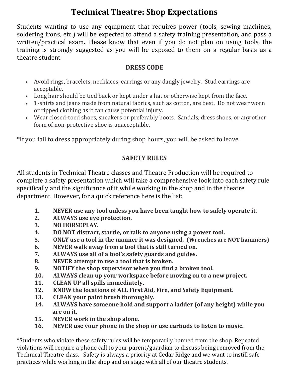## **Technical Theatre: Shop Expectations**

Students wanting to use any equipment that requires power (tools, sewing machines, soldering irons, etc.) will be expected to attend a safety training presentation, and pass a written/practical exam. Please know that even if you do not plan on using tools, the training is strongly suggested as you will be exposed to them on a regular basis as a theatre student.

#### **DRESS CODE**

- Avoid rings, bracelets, necklaces, earrings or any dangly jewelry. Stud earrings are acceptable.
- Long hair should be tied back or kept under a hat or otherwise kept from the face.
- T-shirts and jeans made from natural fabrics, such as cotton, are best. Do not wear worn or ripped clothing as it can cause potential injury.
- Wear closed-toed shoes, sneakers or preferably boots. Sandals, dress shoes, or any other form of non-protective shoe is unacceptable.

\*If you fail to dress appropriately during shop hours, you will be asked to leave.

#### **SAFETY RULES**

All students in Technical Theatre classes and Theatre Production will be required to complete a safety presentation which will take a comprehensive look into each safety rule specifically and the significance of it while working in the shop and in the theatre department. However, for a quick reference here is the list:

- **1. NEVER use any tool unless you have been taught how to safely operate it.**
- **2. ALWAYS use eye protection.**
- **3. NO HORSEPLAY.**
- **4. DO NOT distract, startle, or talk to anyone using a power tool.**
- **5. ONLY use a tool in the manner it was designed. (Wrenches are NOT hammers)**
- **6. NEVER walk away from a tool that is still turned on.**
- **7. ALWAYS use all of a tool's safety guards and guides.**
- **8. NEVER attempt to use a tool that is broken.**
- **9. NOTIFY the shop supervisor when you find a broken tool.**
- **10. ALWAYS clean up your workspace before moving on to a new project.**
- **11. CLEAN UP all spills immediately.**
- **12. KNOW the locations of ALL First Aid, Fire, and Safety Equipment.**
- **13. CLEAN your paint brush thoroughly.**
- **14. ALWAYS have someone hold and support a ladder (of any height) while you are on it.**
- **15. NEVER work in the shop alone.**
- **16. NEVER use your phone in the shop or use earbuds to listen to music.**

\*Students who violate these safety rules will be temporarily banned from the shop. Repeated violations will require a phone call to your parent/guardian to discuss being removed from the Technical Theatre class. Safety is always a priority at Cedar Ridge and we want to instill safe practices while working in the shop and on stage with all of our theatre students.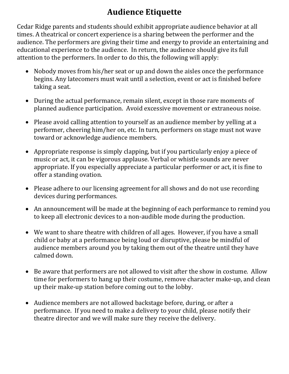# **Audience Etiquette**

Cedar Ridge parents and students should exhibit appropriate audience behavior at all times. A theatrical or concert experience is a sharing between the performer and the audience. The performers are giving their time and energy to provide an entertaining and educational experience to the audience. In return, the audience should give its full attention to the performers. In order to do this, the following will apply:

- Nobody moves from his/her seat or up and down the aisles once the performance begins. Any latecomers must wait until a selection, event or act is finished before taking a seat.
- During the actual performance, remain silent, except in those rare moments of planned audience participation. Avoid excessive movement or extraneous noise.
- Please avoid calling attention to yourself as an audience member by yelling at a performer, cheering him/her on, etc. In turn, performers on stage must not wave toward or acknowledge audience members.
- Appropriate response is simply clapping, but if you particularly enjoy a piece of music or act, it can be vigorous applause. Verbal or whistle sounds are never appropriate. If you especially appreciate a particular performer or act, it is fine to offer a standing ovation.
- Please adhere to our licensing agreement for all shows and do not use recording devices during performances.
- An announcement will be made at the beginning of each performance to remind you to keep all electronic devices to a non-audible mode during the production.
- We want to share theatre with children of all ages. However, if you have a small child or baby at a performance being loud or disruptive, please be mindful of audience members around you by taking them out of the theatre until they have calmed down.
- Be aware that performers are not allowed to visit after the show in costume. Allow time for performers to hang up their costume, remove character make-up, and clean up their make-up station before coming out to the lobby.
- Audience members are not allowed backstage before, during, or after a performance. If you need to make a delivery to your child, please notify their theatre director and we will make sure they receive the delivery.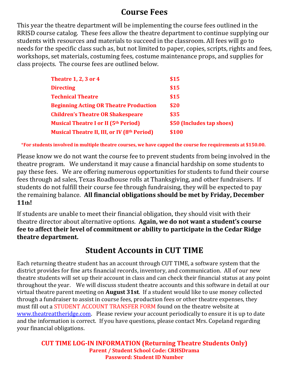#### **Course Fees**

This year the theatre department will be implementing the course fees outlined in the RRISD course catalog. These fees allow the theatre department to continue supplying our students with resources and materials to succeed in the classroom. All fees will go to needs for the specific class such as, but not limited to paper, copies, scripts, rights and fees, workshops, set materials, costuming fees, costume maintenance props, and supplies for class projects. The course fees are outlined below.

| <b>Theatre 1, 2, 3 or 4</b>                        | \$15                      |
|----------------------------------------------------|---------------------------|
| <b>Directing</b>                                   | \$15                      |
| <b>Technical Theatre</b>                           | \$15                      |
| <b>Beginning Acting OR Theatre Production</b>      | \$20                      |
| <b>Children's Theatre OR Shakespeare</b>           | \$35                      |
| <b>Musical Theatre I or II (5th Period)</b>        | \$50 (Includes tap shoes) |
| <b>Musical Theatre II, III, or IV (8th Period)</b> | \$100                     |

\***For students involved in multiple theatre courses, we have capped the course fee requirements at \$150.00.**

Please know we do not want the course fee to prevent students from being involved in the theatre program. We understand it may cause a financial hardship on some students to pay these fees. We are offering numerous opportunities for students to fund their course fees through ad sales, Texas Roadhouse rolls at Thanksgiving, and other fundraisers. If students do not fulfill their course fee through fundraising, they will be expected to pay the remaining balance. **All financial obligations should be met by Friday, December 11th!**

If students are unable to meet their financial obligation, they should visit with their theatre director about alternative options. **Again, we do not want a student's course fee to affect their level of commitment or ability to participate in the Cedar Ridge theatre department.**

#### **Student Accounts in CUT TIME**

Each returning theatre student has an account through CUT TIME, a software system that the district provides for fine arts financial records, inventory, and communication. All of our new theatre students will set up their account in class and can check their financial status at any point throughout the year. We will discuss student theatre accounts and this software in detail at our virtual theatre parent meeting on **August 31st**. If a student would like to use money collected through a fundraiser to assist in course fees, production fees or other theatre expenses, they must fill out a STUDENT ACCOUNT TRANSFER FORM found on the theatre website at [www.theatreattheridge.com.](../../Downloads/www.theatreattheridge.com) Please review your account periodically to ensure it is up to date and the information is correct. If you have questions, please contact Mrs. Copeland regarding your financial obligations.

**CUT TIME LOG-IN INFORMATION (Returning Theatre Students Only) Parent / Student School Code: CRHSDrama Password: Student ID Number**